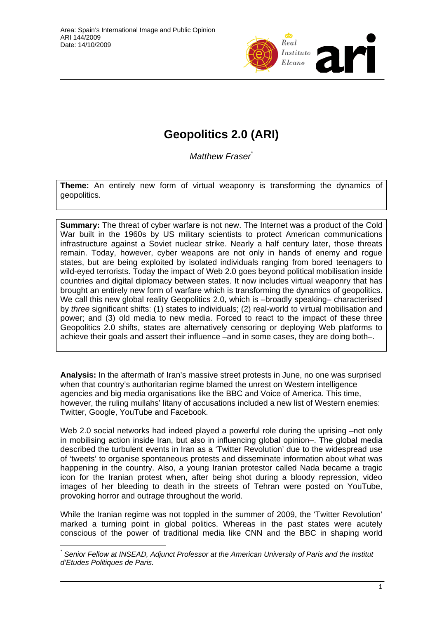

# **Geopolitics 2.0 (ARI)**

*Matthew Fraser*[\\*](#page-0-0)

**Theme:** An entirely new form of virtual weaponry is transforming the dynamics of geopolitics.

**Summary:** The threat of cyber warfare is not new. The Internet was a product of the Cold War built in the 1960s by US military scientists to protect American communications infrastructure against a Soviet nuclear strike. Nearly a half century later, those threats remain. Today, however, cyber weapons are not only in hands of enemy and rogue states, but are being exploited by isolated individuals ranging from bored teenagers to wild-eyed terrorists. Today the impact of Web 2.0 goes beyond political mobilisation inside countries and digital diplomacy between states. It now includes virtual weaponry that has brought an entirely new form of warfare which is transforming the dynamics of geopolitics. We call this new global reality Geopolitics 2.0, which is –broadly speaking– characterised by *three* significant shifts: (1) states to individuals; (2) real-world to virtual mobilisation and power; and (3) old media to new media. Forced to react to the impact of these three Geopolitics 2.0 shifts, states are alternatively censoring or deploying Web platforms to achieve their goals and assert their influence –and in some cases, they are doing both–.

**Analysis:** In the aftermath of Iran's massive street protests in June, no one was surprised when that country's authoritarian regime blamed the unrest on Western intelligence agencies and big media organisations like the BBC and Voice of America. This time, however, the ruling mullahs' litany of accusations included a new list of Western enemies: Twitter, Google, YouTube and Facebook.

Web 2.0 social networks had indeed played a powerful role during the uprising –not only in mobilising action inside Iran, but also in influencing global opinion–. The global media described the turbulent events in Iran as a 'Twitter Revolution' due to the widespread use of 'tweets' to organise spontaneous protests and disseminate information about what was happening in the country. Also, a young Iranian protestor called Nada became a tragic icon for the Iranian protest when, after being shot during a bloody repression, video images of her bleeding to death in the streets of Tehran were posted on YouTube, provoking horror and outrage throughout the world.

While the Iranian regime was not toppled in the summer of 2009, the 'Twitter Revolution' marked a turning point in global politics. Whereas in the past states were acutely conscious of the power of traditional media like CNN and the BBC in shaping world

<span id="page-0-0"></span> $\overline{a}$ *\* Senior Fellow at INSEAD, Adjunct Professor at the American University of Paris and the Institut d'Etudes Politiques de Paris.*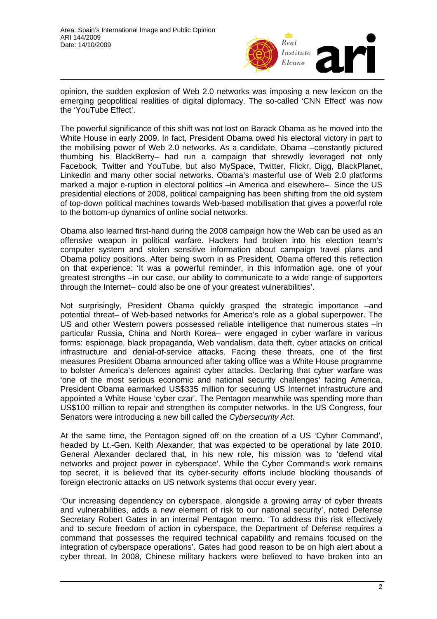

opinion, the sudden explosion of Web 2.0 networks was imposing a new lexicon on the emerging geopolitical realities of digital diplomacy. The so-called 'CNN Effect' was now the 'YouTube Effect'.

The powerful significance of this shift was not lost on Barack Obama as he moved into the White House in early 2009. In fact, President Obama owed his electoral victory in part to the mobilising power of Web 2.0 networks. As a candidate, Obama –constantly pictured thumbing his BlackBerry– had run a campaign that shrewdly leveraged not only Facebook, Twitter and YouTube, but also MySpace, Twitter, Flickr, Digg, BlackPlanet, LinkedIn and many other social networks. Obama's masterful use of Web 2.0 platforms marked a major e-ruption in electoral politics –in America and elsewhere–. Since the US presidential elections of 2008, political campaigning has been shifting from the old system of top-down political machines towards Web-based mobilisation that gives a powerful role to the bottom-up dynamics of online social networks.

Obama also learned first-hand during the 2008 campaign how the Web can be used as an offensive weapon in political warfare. Hackers had broken into his election team's computer system and stolen sensitive information about campaign travel plans and Obama policy positions. After being sworn in as President, Obama offered this reflection on that experience: 'It was a powerful reminder, in this information age, one of your greatest strengths –in our case, our ability to communicate to a wide range of supporters through the Internet– could also be one of your greatest vulnerabilities'.

Not surprisingly, President Obama quickly grasped the strategic importance –and potential threat– of Web-based networks for America's role as a global superpower. The US and other Western powers possessed reliable intelligence that numerous states –in particular Russia, China and North Korea– were engaged in cyber warfare in various forms: espionage, black propaganda, Web vandalism, data theft, cyber attacks on critical infrastructure and denial-of-service attacks. Facing these threats, one of the first measures President Obama announced after taking office was a White House programme to bolster America's defences against cyber attacks. Declaring that cyber warfare was 'one of the most serious economic and national security challenges' facing America, President Obama earmarked US\$335 million for securing US Internet infrastructure and appointed a White House 'cyber czar'. The Pentagon meanwhile was spending more than US\$100 million to repair and strengthen its computer networks. In the US Congress, four Senators were introducing a new bill called the *Cybersecurity Act*.

At the same time, the Pentagon signed off on the creation of a US 'Cyber Command', headed by Lt.-Gen. Keith Alexander, that was expected to be operational by late 2010. General Alexander declared that, in his new role, his mission was to 'defend vital networks and project power in cyberspace'. While the Cyber Command's work remains top secret, it is believed that its cyber-security efforts include blocking thousands of foreign electronic attacks on US network systems that occur every year.

'Our increasing dependency on cyberspace, alongside a growing array of cyber threats and vulnerabilities, adds a new element of risk to our national security', noted Defense Secretary Robert Gates in an internal Pentagon memo. 'To address this risk effectively and to secure freedom of action in cyberspace, the Department of Defense requires a command that possesses the required technical capability and remains focused on the integration of cyberspace operations'. Gates had good reason to be on high alert about a cyber threat. In 2008, Chinese military hackers were believed to have broken into an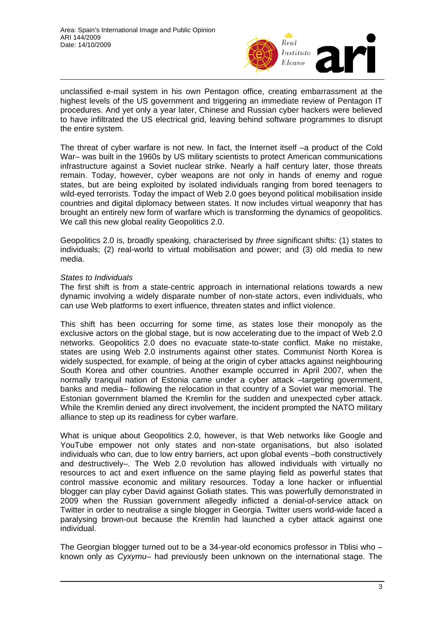

unclassified e-mail system in his own Pentagon office, creating embarrassment at the highest levels of the US government and triggering an immediate review of Pentagon IT procedures. And yet only a year later, Chinese and Russian cyber hackers were believed to have infiltrated the US electrical grid, leaving behind software programmes to disrupt the entire system.

The threat of cyber warfare is not new. In fact, the Internet itself –a product of the Cold War– was built in the 1960s by US military scientists to protect American communications infrastructure against a Soviet nuclear strike. Nearly a half century later, those threats remain. Today, however, cyber weapons are not only in hands of enemy and rogue states, but are being exploited by isolated individuals ranging from bored teenagers to wild-eyed terrorists. Today the impact of Web 2.0 goes beyond political mobilisation inside countries and digital diplomacy between states. It now includes virtual weaponry that has brought an entirely new form of warfare which is transforming the dynamics of geopolitics. We call this new global reality Geopolitics 2.0.

Geopolitics 2.0 is, broadly speaking, characterised by *three* significant shifts: (1) states to individuals; (2) real-world to virtual mobilisation and power; and (3) old media to new media.

### *States to Individuals*

The first shift is from a state-centric approach in international relations towards a new dynamic involving a widely disparate number of non-state actors, even individuals, who can use Web platforms to exert influence, threaten states and inflict violence.

This shift has been occurring for some time, as states lose their monopoly as the exclusive actors on the global stage, but is now accelerating due to the impact of Web 2.0 networks. Geopolitics 2.0 does no evacuate state-to-state conflict. Make no mistake, states are using Web 2.0 instruments against other states. Communist North Korea is widely suspected, for example, of being at the origin of cyber attacks against neighbouring South Korea and other countries. Another example occurred in April 2007, when the normally tranquil nation of Estonia came under a cyber attack –targeting government, banks and media– following the relocation in that country of a Soviet war memorial. The Estonian government blamed the Kremlin for the sudden and unexpected cyber attack. While the Kremlin denied any direct involvement, the incident prompted the NATO military alliance to step up its readiness for cyber warfare.

What is unique about Geopolitics 2.0, however, is that Web networks like Google and YouTube empower not only states and non-state organisations, but also isolated individuals who can, due to low entry barriers, act upon global events –both constructively and destructively–. The Web 2.0 revolution has allowed individuals with virtually no resources to act and exert influence on the same playing field as powerful states that control massive economic and military resources. Today a lone hacker or influential blogger can play cyber David against Goliath states. This was powerfully demonstrated in 2009 when the Russian government allegedly inflicted a denial-of-service attack on Twitter in order to neutralise a single blogger in Georgia. Twitter users world-wide faced a paralysing brown-out because the Kremlin had launched a cyber attack against one individual.

The Georgian blogger turned out to be a 34-year-old economics professor in Tblisi who – known only as *Cyxymu*– had previously been unknown on the international stage. The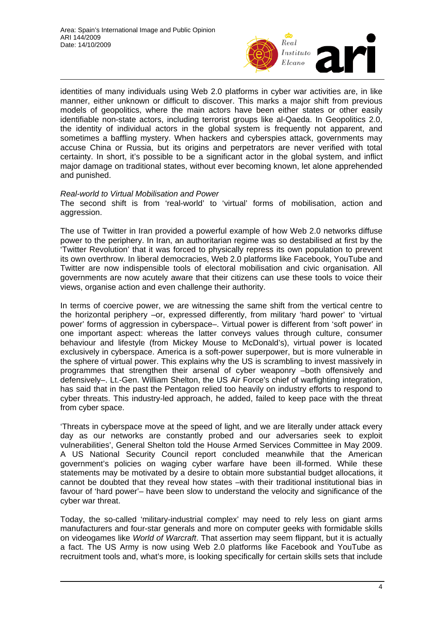

identities of many individuals using Web 2.0 platforms in cyber war activities are, in like manner, either unknown or difficult to discover. This marks a major shift from previous models of geopolitics, where the main actors have been either states or other easily identifiable non-state actors, including terrorist groups like al-Qaeda. In Geopolitics 2.0, the identity of individual actors in the global system is frequently not apparent, and sometimes a baffling mystery. When hackers and cyberspies attack, governments may accuse China or Russia, but its origins and perpetrators are never verified with total certainty. In short, it's possible to be a significant actor in the global system, and inflict major damage on traditional states, without ever becoming known, let alone apprehended and punished.

### *Real-world to Virtual Mobilisation and Power*

The second shift is from 'real-world' to 'virtual' forms of mobilisation, action and aggression.

The use of Twitter in Iran provided a powerful example of how Web 2.0 networks diffuse power to the periphery. In Iran, an authoritarian regime was so destabilised at first by the 'Twitter Revolution' that it was forced to physically repress its own population to prevent its own overthrow. In liberal democracies, Web 2.0 platforms like Facebook, YouTube and Twitter are now indispensible tools of electoral mobilisation and civic organisation. All governments are now acutely aware that their citizens can use these tools to voice their views, organise action and even challenge their authority.

In terms of coercive power, we are witnessing the same shift from the vertical centre to the horizontal periphery –or, expressed differently, from military 'hard power' to 'virtual power' forms of aggression in cyberspace–. Virtual power is different from 'soft power' in one important aspect: whereas the latter conveys values through culture, consumer behaviour and lifestyle (from Mickey Mouse to McDonald's), virtual power is located exclusively in cyberspace. America is a soft-power superpower, but is more vulnerable in the sphere of virtual power. This explains why the US is scrambling to invest massively in programmes that strengthen their arsenal of cyber weaponry –both offensively and defensively–. Lt.-Gen. William Shelton, the US Air Force's chief of warfighting integration, has said that in the past the Pentagon relied too heavily on industry efforts to respond to cyber threats. This industry-led approach, he added, failed to keep pace with the threat from cyber space.

'Threats in cyberspace move at the speed of light, and we are literally under attack every day as our networks are constantly probed and our adversaries seek to exploit vulnerabilities', General Shelton told the House Armed Services Committee in May 2009. A US National Security Council report concluded meanwhile that the American government's policies on waging cyber warfare have been ill-formed. While these statements may be motivated by a desire to obtain more substantial budget allocations, it cannot be doubted that they reveal how states –with their traditional institutional bias in favour of 'hard power'– have been slow to understand the velocity and significance of the cyber war threat.

Today, the so-called 'military-industrial complex' may need to rely less on giant arms manufacturers and four-star generals and more on computer geeks with formidable skills on videogames like *World of Warcraft*. That assertion may seem flippant, but it is actually a fact. The US Army is now using Web 2.0 platforms like Facebook and YouTube as recruitment tools and, what's more, is looking specifically for certain skills sets that include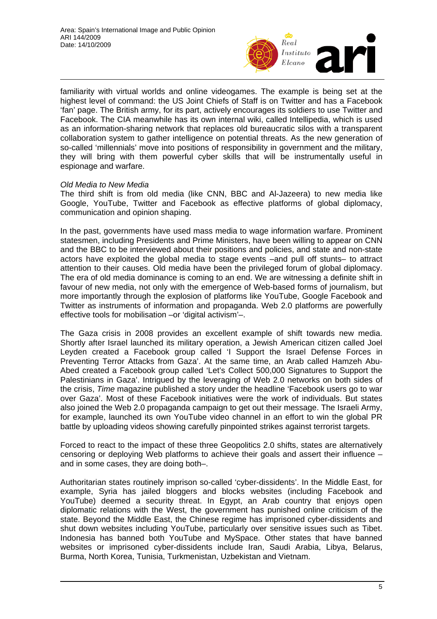

familiarity with virtual worlds and online videogames. The example is being set at the highest level of command: the US Joint Chiefs of Staff is on Twitter and has a Facebook 'fan' page. The British army, for its part, actively encourages its soldiers to use Twitter and Facebook. The CIA meanwhile has its own internal wiki, called Intellipedia, which is used as an information-sharing network that replaces old bureaucratic silos with a transparent collaboration system to gather intelligence on potential threats. As the new generation of so-called 'millennials' move into positions of responsibility in government and the military, they will bring with them powerful cyber skills that will be instrumentally useful in espionage and warfare.

### *Old Media to New Media*

The third shift is from old media (like CNN, BBC and Al-Jazeera) to new media like Google, YouTube, Twitter and Facebook as effective platforms of global diplomacy, communication and opinion shaping.

In the past, governments have used mass media to wage information warfare. Prominent statesmen, including Presidents and Prime Ministers, have been willing to appear on CNN and the BBC to be interviewed about their positions and policies, and state and non-state actors have exploited the global media to stage events –and pull off stunts– to attract attention to their causes. Old media have been the privileged forum of global diplomacy. The era of old media dominance is coming to an end. We are witnessing a definite shift in favour of new media, not only with the emergence of Web-based forms of journalism, but more importantly through the explosion of platforms like YouTube, Google Facebook and Twitter as instruments of information and propaganda. Web 2.0 platforms are powerfully effective tools for mobilisation –or 'digital activism'–.

The Gaza crisis in 2008 provides an excellent example of shift towards new media. Shortly after Israel launched its military operation, a Jewish American citizen called Joel Leyden created a Facebook group called 'I Support the Israel Defense Forces in Preventing Terror Attacks from Gaza'. At the same time, an Arab called Hamzeh Abu-Abed created a Facebook group called 'Let's Collect 500,000 Signatures to Support the Palestinians in Gaza'. Intrigued by the leveraging of Web 2.0 networks on both sides of the crisis, *Time* magazine published a story under the headline 'Facebook users go to war over Gaza'. Most of these Facebook initiatives were the work of individuals. But states also joined the Web 2.0 propaganda campaign to get out their message. The Israeli Army, for example, launched its own YouTube video channel in an effort to win the global PR battle by uploading videos showing carefully pinpointed strikes against terrorist targets.

Forced to react to the impact of these three Geopolitics 2.0 shifts, states are alternatively censoring or deploying Web platforms to achieve their goals and assert their influence – and in some cases, they are doing both–.

Authoritarian states routinely imprison so-called 'cyber-dissidents'. In the Middle East, for example, Syria has jailed bloggers and blocks websites (including Facebook and YouTube) deemed a security threat. In Egypt, an Arab country that enjoys open diplomatic relations with the West, the government has punished online criticism of the state. Beyond the Middle East, the Chinese regime has imprisoned cyber-dissidents and shut down websites including YouTube, particularly over sensitive issues such as Tibet. Indonesia has banned both YouTube and MySpace. Other states that have banned websites or imprisoned cyber-dissidents include Iran, Saudi Arabia, Libya, Belarus, Burma, North Korea, Tunisia, Turkmenistan, Uzbekistan and Vietnam.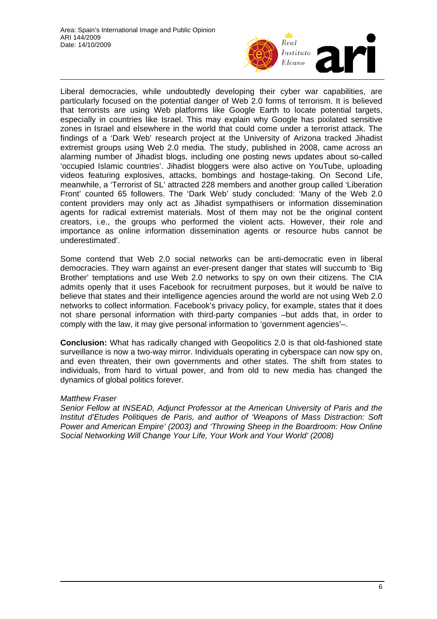

Liberal democracies, while undoubtedly developing their cyber war capabilities, are particularly focused on the potential danger of Web 2.0 forms of terrorism. It is believed that terrorists are using Web platforms like Google Earth to locate potential targets, especially in countries like Israel. This may explain why Google has pixilated sensitive zones in Israel and elsewhere in the world that could come under a terrorist attack. The findings of a 'Dark Web' research project at the University of Arizona tracked Jihadist extremist groups using Web 2.0 media. The study, published in 2008, came across an alarming number of Jihadist blogs, including one posting news updates about so-called 'occupied Islamic countries'. Jihadist bloggers were also active on YouTube, uploading videos featuring explosives, attacks, bombings and hostage-taking. On Second Life, meanwhile, a 'Terrorist of SL' attracted 228 members and another group called 'Liberation Front' counted 65 followers. The 'Dark Web' study concluded: 'Many of the Web 2.0 content providers may only act as Jihadist sympathisers or information dissemination agents for radical extremist materials. Most of them may not be the original content creators, i.e., the groups who performed the violent acts. However, their role and importance as online information dissemination agents or resource hubs cannot be underestimated'.

Some contend that Web 2.0 social networks can be anti-democratic even in liberal democracies. They warn against an ever-present danger that states will succumb to 'Big Brother' temptations and use Web 2.0 networks to spy on own their citizens. The CIA admits openly that it uses Facebook for recruitment purposes, but it would be naïve to believe that states and their intelligence agencies around the world are not using Web 2.0 networks to collect information. Facebook's privacy policy, for example, states that it does not share personal information with third-party companies –but adds that, in order to comply with the law, it may give personal information to 'government agencies'–.

**Conclusion:** What has radically changed with Geopolitics 2.0 is that old-fashioned state surveillance is now a two-way mirror. Individuals operating in cyberspace can now spy on, and even threaten, their own governments and other states. The shift from states to individuals, from hard to virtual power, and from old to new media has changed the dynamics of global politics forever.

### *Matthew Fraser*

*Senior Fellow at INSEAD, Adjunct Professor at the American University of Paris and the Institut d'Etudes Politiques de Paris, and author of 'Weapons of Mass Distraction: Soft Power and American Empire' (2003) and 'Throwing Sheep in the Boardroom: How Online Social Networking Will Change Your Life, Your Work and Your World' (2008)*